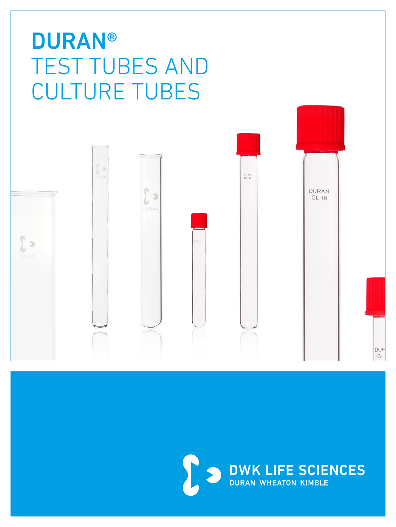# **DURAN®** TEST TUBES AND CULTURE TUBES



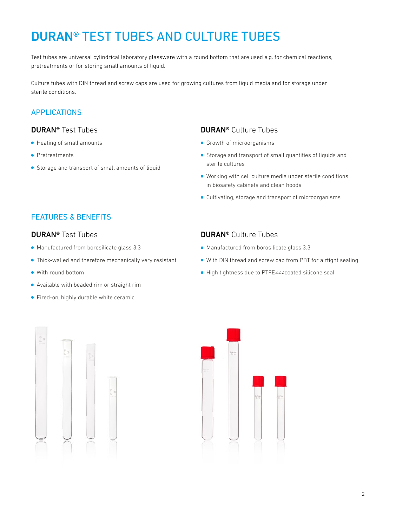### DURAN® TEST TUBES AND CULTURE TUBES

Test tubes are universal cylindrical laboratory glassware with a round bottom that are used e.g. for chemical reactions, pretreatments or for storing small amounts of liquid.

Culture tubes with DIN thread and screw caps are used for growing cultures from liquid media and for storage under sterile conditions.

#### APPLICATIONS

#### DURAN® Test Tubes

- Heating of small amounts
- Pretreatments
- Storage and transport of small amounts of liquid

#### DURAN® Culture Tubes

- **Growth of microorganisms**
- Storage and transport of small quantities of liquids and sterile cultures
- Working with cell culture media under sterile conditions in biosafety cabinets and clean hoods
- Cultivating, storage and transport of microorganisms

#### FEATURES & BENEFITS

#### DURAN® Test Tubes

- Manufactured from borosilicate glass 3.3
- Thick-walled and therefore mechanically very resistant
- With round bottom
- Available with beaded rim or straight rim
- Fired-on, highly durable white ceramic

#### DURAN® Culture Tubes

- Manufactured from borosilicate glass 3.3
- With DIN thread and screw cap from PBT for airtight sealing
- High tightness due to PTFE≠≠≠coated silicone seal



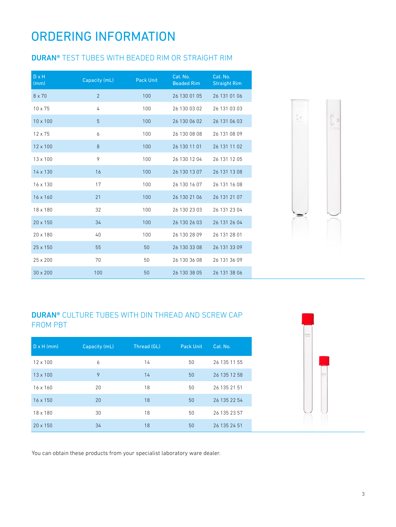### ORDERING INFORMATION

#### DURAN® TEST TUBES WITH BEADED RIM OR STRAIGHT RIM

| $D \times H$<br>(mm) | Capacity (mL)  | <b>Pack Unit</b> | Cat. No.<br><b>Beaded Rim</b> | Cat. No.<br><b>Straight Rim</b> |
|----------------------|----------------|------------------|-------------------------------|---------------------------------|
| $8 \times 70$        | $\overline{2}$ | 100              | 26 130 01 05                  | 26 131 01 06                    |
| $10 \times 75$       | 4              | 100              | 26 130 03 02                  | 26 131 03 03                    |
| $10 \times 100$      | 5              | 100              | 26 130 06 02                  | 26 131 06 03                    |
| $12 \times 75$       | 6              | 100              | 26 130 08 08                  | 26 131 08 09                    |
| $12 \times 100$      | 8              | 100              | 26 130 11 01                  | 26 131 11 02                    |
| $13 \times 100$      | 9              | 100              | 26 130 12 04                  | 26 131 12 05                    |
| $14 \times 130$      | 16             | 100              | 26 130 13 07                  | 26 131 13 08                    |
| $16 \times 130$      | 17             | 100              | 26 130 16 07                  | 26 131 16 08                    |
| $16 \times 160$      | 21             | 100              | 26 130 21 06                  | 26 131 21 07                    |
| 18 x 180             | 32             | 100              | 26 130 23 03                  | 26 131 23 04                    |
| $20 \times 150$      | 34             | 100              | 26 130 26 03                  | 26 131 26 04                    |
| $20 \times 180$      | 40             | 100              | 26 130 28 09                  | 26 131 28 01                    |
| 25 x 150             | 55             | 50               | 26 130 33 08                  | 26 131 33 09                    |
| $25 \times 200$      | 70             | 50               | 26 130 36 08                  | 26 131 36 09                    |
| $30 \times 200$      | 100            | 50               | 26 130 38 05                  | 26 131 38 06                    |



#### DURAN® CULTURE TUBES WITH DIN THREAD AND SCREW CAP FROM PBT

| $D \times H$ (mm) | Capacity (mL) | Thread (GL) | <b>Pack Unit</b> | Cat. No.     |
|-------------------|---------------|-------------|------------------|--------------|
| $12 \times 100$   | 6             | 14          | 50               | 26 135 11 55 |
| $13 \times 100$   | 9             | 14          | 50               | 26 135 12 58 |
| $16 \times 160$   | 20            | 18          | 50               | 26 135 21 51 |
| $16 \times 150$   | 20            | 18          | 50               | 26 135 22 54 |
| 18 x 180          | 30            | 18          | 50               | 26 135 23 57 |
| $20 \times 150$   | 34            | 18          | 50               | 26 135 24 51 |



You can obtain these products from your specialist laboratory ware dealer.